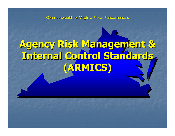Commonwealth of Virginia Fiscal Fundamentals

# **Agency Risk Management & Agency Risk Management & Internal Control Standards Internal Control Standards (ARMICS) (ARMICS)**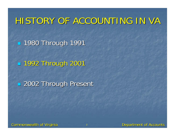# HISTORY OF ACCOUNTING IN VA HISTORY OF ACCOUNTING IN VA

 $-$  **1980 Through 1991** 

**1992 Through 2001** 

**2002 Through Present**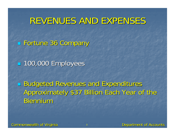#### REVENUES AND EXPENSES

**Fortune 36 Company** 

**100,000 Employees** 

Budgeted Revenues and Expenditures Approximately \$37 Billion Each Year of the **Biennium**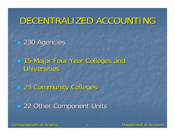#### DECENTRALIZED ACCOUNTING

230 Agencies 230 Agencies

**15 Major Four Year Colleges and** Universities

23 Community Colleges 23 Community Colleges

**22 Other Component Units**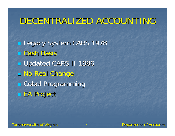#### DECENTRALIZED ACCOUNTING

Legacy System CARS 1978 **L** Cash Basis **Updated CARS II 1986 No Real Change L** Cobol Programming **EA Project**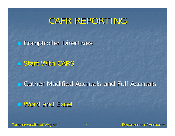#### CAFR REPORTING

**E** Comptroller Directives

 $\blacksquare$  Start With CARS

**E** Gather Modified Accruals and Full Accruals

**Nord and Excel**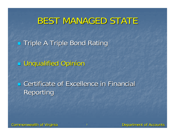#### BEST MANAGED STATE

**Triple A Triple Bond Rating** 

Unqualified Opinion Unqualified Opinion

**Excellence in Financial Certificate of Excellence in Financial** Reporting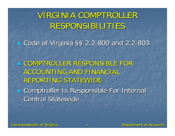VIRGINIA COMPTROLLER RESPONSIBILITIES RESPONSIBILITIES

■ Code of Virginia §§ 2.2-800 and 2.2-803

L COMPTROLLER RESPONSIBLE FOR ACCOUNTING AND FINANCIAL REPORTING STATEWIDE

**Examptroller Is Responsible For Internal Control Statewide**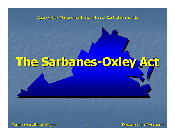Agency Risk Management and Internal Control Standards

# **The Sarbanes The Sarbanes -Oxley Act Oxley Act**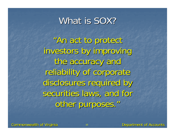#### What is SOX?

"An act to protect An act to protect investors by improving the accuracy and reliability of corporate disclosures required by securities laws, and for other purposes."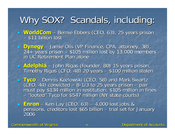# Why SOX? Scandals, including:

- **WorldCom** Bernie Ebbers (CEO, 63), 25 years prison – \$11 billion lost
- $\mathbb{R}^2$ Dynegy – Jamie Olis (VP Finance, CPA, attorney, 38),<br>24+ years prison – \$105 million lost by 13,000 members<br>in UC Retirement Plan alone in UC Retirement Plan alone
- $\mathbb{R}^2$ **Adelphia** – John Rigas (founder, 80) 15 years prison,<br>Timothy Rigas (CFO, 48) 20 years – \$100 million stolen
- L. Tyco – Dennis Kozlowski (CEO, 58) and Mark Swartz<br>(CFO, 44) convicted – 8-1/3 to 25 years prison – pair<br>must pay \$134 million in restitution, \$105 million in fines – "looted" Tyco for \$547 million (NY state courts)
- $\mathbb{R}^2$ **Enron** – Ken Lay (CEO, 63) Ken Lay (CEO, 63) – 4,000 lost jobs & 4,000 lost jobs & pensions, creditors lost \$65 billion pensions, creditors lost \$65 billion – trial set for January trial set for January 2006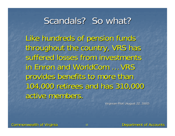#### Scandals? So what?

Like hundreds of pension funds throughout the country, VRS has suffered losses from investments in Enron and WorldCom ... VRS provides benefits to more than 104,000 retirees and has 310,000 104,000 retirees and has 310,000 active members.

Virginian-Pilot (August 22, 2002)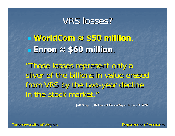# VRS losses? **WorldCom WorldCom <sup>≈</sup> \$50 million \$50 million**. **Enron <sup>≈</sup> \$60 million \$60 million**. "Those losses represent only a sliver of the billions in value erased from VRS by the two-year decline in the stock market."

Jeff Shapiro, Richmond Times-Dispatch (July 3, 2002)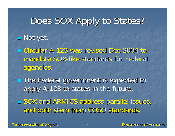# Does SOX Apply to States?

#### $\blacksquare$  Not yet.

**Example Circular A-123 was revised Dec 2004 to 123 was revised Dec 2004 to 123** mandate SOX-like standards for Federal agencies. agencies.

**The Federal government is expected to** apply A-123 to states in the future.

**SOX and ARMICS address parallel issues,** and both stem from COSO standards.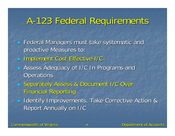# A-123 Federal Requirements

- **Federal Managers must take systematic and Federal Managers must take systematic and** proactive Measures to:
- $\blacksquare$ Implement Cost Effective I/C
- $\overline{\mathcal{L}}$ **E** Assess Adequacy of I/C In Programs and **Operations**
- **Separately Assess & Document I/C Over Gottle Financial Reporting**
- p. **IDENTIFY Improvements, Take Corrective Action & Identify Improvements, Take Corrective Action &** Report Annually on I/C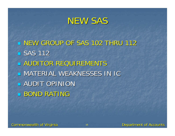#### NEW SAS

**NEW GROUP OF SAS 102 THRU 112**  $\blacksquare$  SAS 112 **AUDITOR REQUIREMENTS U MATERIAL WEAKNESSES IN IC AUDIT OPINION BOND RATING**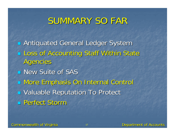#### SUMMARY SO FAR

**Rantiquated General Ledger System** Loss of Accounting Staff Within State Agencies **New Suite of SAS**  More Emphasis On Internal Control More Emphasis On Internal Control **u** Valuable Reputation To Protect **Bullet Storm Perfect Storm**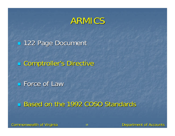**122 Page Document** 

**E** Comptroller's Directive

**Force of Law** 

Based on the 1992 COSO Standards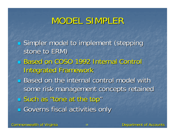# MODEL SIMPLER

**Simpler model to implement (stepping** stone to ERM) Based on COSO 1992 Internal Control Integrated Framework Integrated Framework **Based on the internal control model with** some risk management concepts retained **Such as "tone at the top" Governs fiscal activities only**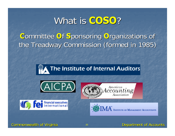### What is COSO?

#### **Committee Of Sponsoring Organizations of** the Treadway Commission (formed in 1985)









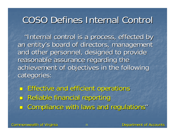# COSO Defines Internal Control COSO Defines Internal Control

"Internal control is a process, effected by an entity's board of directors, management and other personnel, designed to provide reasonable assurance regarding the achievement of objectives in the following achievement of objectives in the following categories:

**Service Service**  Effective and efficient operations Effective and efficient operations **E** Reliable financial reporting **E** Compliance with laws and regulations"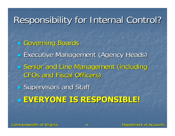# Responsibility for Internal Control? Responsibility for Internal Control?

**Governing Boards Executive Management (Agency Heads) Senior and Line Management (including Grades** CFOs and Fiscal Officers) **Supervisors and Staff Supervisors** and Staff **EVERYONE EVERYONE IS RESPONSIBLE! IS RESPONSIBLE!**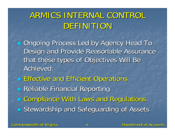# ARMICS INTERNAL CONTROL ARMICS INTERNAL CONTROL DEFINITION

**Demography Process Led by Agency Head To Agency Read To** Design and Provide Reasonable Assurance that these types of Objectives Will Be Achieved:

**Effective and Efficient Operations Reliable Financial Reporting E Compliance With Laws and Regulations Externardship and Safeguarding of Assets**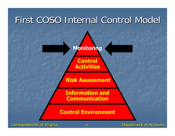

Commonwealth of Virginia Commonwealth of Virginia <sup>24</sup> Department of Accounts Department of Accounts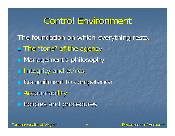## Control Environment

The foundation on which everything rests: **The "tone" of the agency B** Management's philosophy **Integrity and ethics E** Commitment to competence **E** Accountability **Policies and procedures**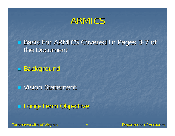Basis For ARMICS Covered In Pages 3-7 of the Document

**Background** 

**U** Vision Statement

**Long-Term Objective**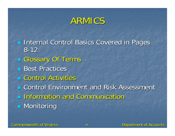**Internal Control Basics Covered in Pages** 8-12**Glossary Of Terms**  $\blacksquare$  Best Practices **E** Control Activities **Example 20 Feature Control Environment and Risk Assessment**  Information and Communication Information and Communication $\blacksquare$  Monitoring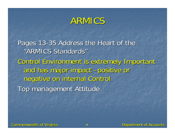Pages 13-35 Address the Heart of the "ARMICS Standards" Control Environment is extremely Important Control Environment is extremely Important and has major impact –positive or negative on internal Control negative on internal Control Top management Attitude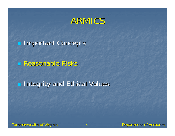**Important Concepts** 

**Reasonable Risks** 

**Integrity and Ethical Values**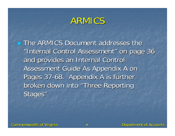**The ARMICS Document addresses the** "Internal Control Assessment" on page 36 and provides an Internal Control and provides an Internal Control Assessment Guide As Appendix A on Pages 37-68. Appendix A is further broken down into "Three Reporting Stages"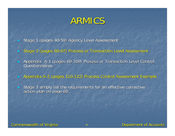- **Stage 1 (pages 40-59) Agency Level Assessment**
- **Stage 2 (pages 60-67) Process or Transaction Level Assessment 67**
- $\blacksquare$ Appendix A-1 (pages 69-109) Process or Transaction Level Control **Questionnaires**
- $\blacksquare$ Appendix A-2 (pages 110-122) Process Control Assessment Example
- $\blacksquare$ Stage 3 simply list the requirements for an effective corrective action plan on page 68.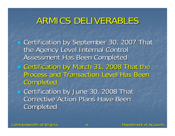#### ARMICS DELIVERABLES

- **Example 7 Certification by September 30, 2007 That** the Agency Level Internal Control Assessment Has Been Completed
- **Exertification by March 31, 2008 That the** Process and Transaction Level Has Been **Completed**
- **Example 20, 2008 That Let at a Certification by June 30, 2008 That Corrective Action Plans Have Been Completed**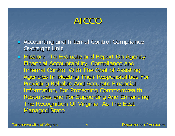# AICCO

- p. **E** Accounting and Internal Control Compliance **Oversight Unit**
- **Nission: To Evaluate and Report On Agency Mission: To Evaluate and Report On Agency** Financial Accountability, Compliance and Financial Accountability, Compliance and Internal Control With The Goal of Assisting Internal Control With The Goal of Assisting Agencies In Meeting Their Responsibilities For Providing Reliable And Accurate Financial Providing Reliable And Accurate Financial Information, For Protecting Commonwealth Resources and For Supporting And Enhancing The Recognition Of Virginia As The Best **Managed State**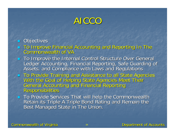# AICCO

#### $\blacksquare$  Objectives

- To Improve Financial Accounting and Reporting In The To Improve Financial Accounting and Reporting In The Commonwealth of VACommonwealth of VA
- To Improve the Internal Control Structure Over General<br>Ledger Accounting, Financial Reporting, Safe Guarding of<br>Assets, and Compliance with Laws and Regulations
- To Provide Training and Assistance to all State Agencies<br>With the Goal of Helping State Agencies Meet Their<br>General Accounting and Financial Reporting<br>Responsibilities
- To Provide Services That will help the Commonwealth<br>Retain its Triple A Triple Bond Rating and Remain the<br>Best Managed State in The Union.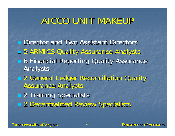# AICCO UNIT MAKEUP

**Director and Two Assistant Directors 5 ARMICS Quality Assurance Analysts Example 3 Financial Reporting Quality Assurance** Analysts **2 General Ledger Reconciliation Quality Assurance Analysts 2 Training Specialists 2 Decentralized Review Specialists**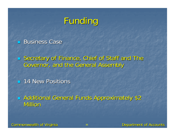# Funding

**Business Case** 

 $\mathbb{R}^2$ **Secretary of Finance, Chief of Staff and The Secretary of Finance, Chief of Staff and The** Governor, and the General Assembly Governor, and the General Assembly

**14 New Positions** 

 $\mathbb{R}^2$ **B** Additional General Funds Approximately \$2 Million Million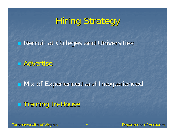# **Hiring Strategy**

**Recruit at Colleges and Universities** 

**B** Advertise

 $\blacksquare$ Mix of Experienced and Inexperienced

**E** Training In-House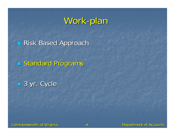# Work-plan

**Risk Based Approach** 

**Standard Programs** 

■ 3 yr. Cycle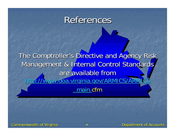#### References

The Comptroller's Directive and Agency Risk Management & Internal Control Standards are available from http://www.doa.virginia.gov/ARMICS/ARM \_ main.cfm